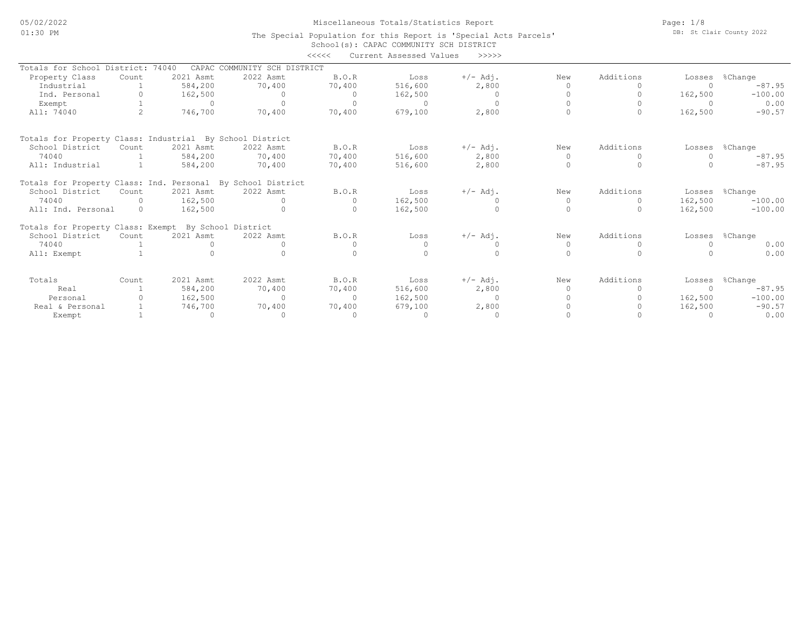## Miscellaneous Totals/Statistics Report

School(s): CAPAC COMMUNITY SCH DISTRICT The Special Population for this Report is 'Special Acts Parcels' Page: 1/8 DB: St Clair County 2022

|                                                             |                |              |                              | $\begin{array}{c} \displaystyle < \displaystyle < \displaystyle < \displaystyle < \displaystyle < \displaystyle < \displaystyle \end{array}$ | Current Assessed Values | >>>>>      |           |           |         |                |
|-------------------------------------------------------------|----------------|--------------|------------------------------|----------------------------------------------------------------------------------------------------------------------------------------------|-------------------------|------------|-----------|-----------|---------|----------------|
| Totals for School District:                                 |                | 74040        | CAPAC COMMUNITY SCH DISTRICT |                                                                                                                                              |                         |            |           |           |         |                |
| Property Class                                              | Count          | 2021 Asmt    | 2022 Asmt                    | B.0. R                                                                                                                                       | Loss                    | $+/-$ Adj. | New       | Additions | Losses  | %Change        |
| Industrial                                                  |                | 584,200      | 70,400                       | 70,400                                                                                                                                       | 516,600                 | 2,800      | $\bigcap$ |           |         | $-87.95$       |
| Ind. Personal                                               | $\bigcap$      | 162,500      | $\Omega$                     | $\Omega$                                                                                                                                     | 162,500                 | $\circ$    |           |           | 162,500 | $-100.00$      |
| Exempt                                                      |                | $\Omega$     | $\Omega$                     | $\bigcap$                                                                                                                                    | $\Omega$                | $\Omega$   |           |           |         | 0.00           |
| All: 74040                                                  | $\mathfrak{D}$ | 746,700      | 70,400                       | 70,400                                                                                                                                       | 679,100                 | 2,800      |           | $\bigcap$ | 162,500 | $-90.57$       |
| Totals for Property Class: Industrial By School District    |                |              |                              |                                                                                                                                              |                         |            |           |           |         |                |
| School District                                             | Count          | 2021 Asmt    | 2022 Asmt                    | B.O.R                                                                                                                                        | Loss                    | $+/-$ Adj. | New       | Additions | Losses  | %Change        |
| 74040                                                       |                | 584,200      | 70,400                       | 70,400                                                                                                                                       | 516,600                 | 2,800      | $\Omega$  | $\Omega$  |         | $-87.95$       |
| All: Industrial                                             |                | 584,200      | 70,400                       | 70,400                                                                                                                                       | 516,600                 | 2,800      | $\Omega$  |           |         | $-87.95$       |
| Totals for Property Class: Ind. Personal By School District |                |              |                              |                                                                                                                                              |                         |            |           |           |         |                |
| School District                                             | Count          | 2021 Asmt    | 2022 Asmt                    | B.O.R                                                                                                                                        | Loss                    | $+/-$ Adj. | New       | Additions |         | Losses %Change |
| 74040                                                       | $\Omega$       | 162,500      | $\Omega$                     |                                                                                                                                              | 162,500                 |            | $\Omega$  | $\bigcap$ | 162,500 | $-100.00$      |
| All: Ind. Personal                                          | $\Omega$       | 162,500      | $\Omega$                     | $\mathbf{0}$                                                                                                                                 | 162,500                 | $\circ$    | $\Omega$  | $\Omega$  | 162,500 | $-100.00$      |
| Totals for Property Class: Exempt By School District        |                |              |                              |                                                                                                                                              |                         |            |           |           |         |                |
| School District                                             | Count          | 2021 Asmt    | 2022 Asmt                    | <b>B.O.R</b>                                                                                                                                 | Loss                    | $+/-$ Adj. | New       | Additions | Losses  | %Change        |
| 74040                                                       |                | $\mathbf{0}$ |                              |                                                                                                                                              |                         | 0          | 0         | $\Omega$  |         | 0.00           |
| All: Exempt                                                 |                |              |                              |                                                                                                                                              |                         | $\Omega$   | $\cap$    |           |         | 0.00           |
| Totals                                                      | Count          | 2021 Asmt    | 2022 Asmt                    | B.O.R                                                                                                                                        | Loss                    | $+/-$ Adj. | New       | Additions | Losses  | %Change        |
| Real                                                        |                | 584,200      | 70,400                       | 70,400                                                                                                                                       | 516,600                 | 2,800      | $\Omega$  | $\bigcap$ |         | $-87.95$       |
| Personal                                                    |                | 162,500      | $\Omega$                     | $\bigcap$                                                                                                                                    | 162,500                 | $\circ$    |           |           | 162,500 | $-100.00$      |
| Real & Personal                                             |                | 746,700      | 70,400                       | 70,400                                                                                                                                       | 679,100                 | 2,800      |           |           | 162,500 | $-90.57$       |
| Exempt                                                      |                | $\circ$      | $\cap$                       |                                                                                                                                              |                         | $\circ$    |           |           |         | 0.00           |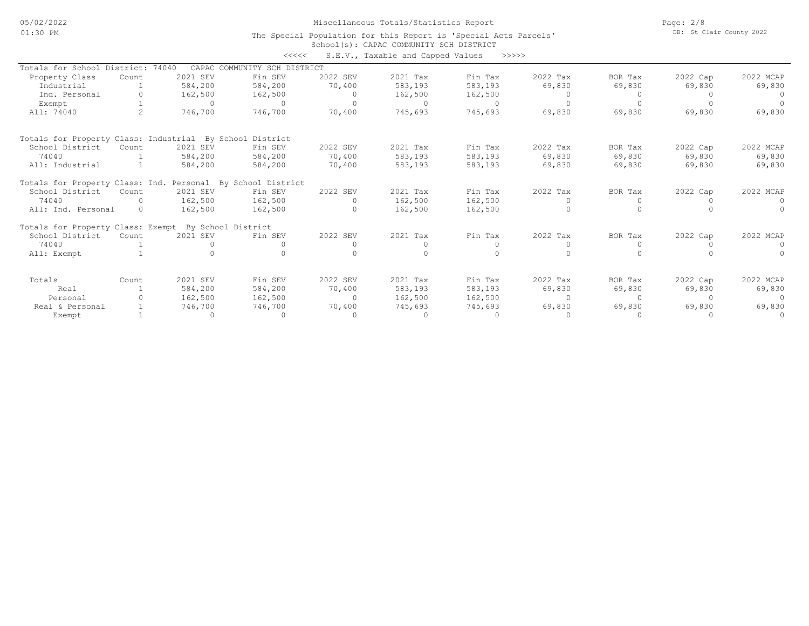05/02/2022 01:30 PM

# Miscellaneous Totals/Statistics Report

Page: 2/8 DB: St Clair County 2022

#### School(s): CAPAC COMMUNITY SCH DISTRICT The Special Population for this Report is 'Special Acts Parcels'

|                                                             |          |          | <<<<                         |          | S.E.V., Taxable and Capped Values | >>>>>    |           |           |          |           |
|-------------------------------------------------------------|----------|----------|------------------------------|----------|-----------------------------------|----------|-----------|-----------|----------|-----------|
| Totals for School District:                                 |          | 74040    | CAPAC COMMUNITY SCH DISTRICT |          |                                   |          |           |           |          |           |
| Property Class                                              | Count    | 2021 SEV | Fin SEV                      | 2022 SEV | 2021 Tax                          | Fin Tax  | 2022 Tax  | BOR Tax   | 2022 Cap | 2022 MCAP |
| Industrial                                                  |          | 584,200  | 584,200                      | 70,400   | 583,193                           | 583,193  | 69,830    | 69,830    | 69,830   | 69,830    |
| Ind. Personal                                               |          | 162,500  | 162,500                      | $\circ$  | 162,500                           | 162,500  |           |           |          |           |
| Exempt                                                      |          | $\Omega$ | $\cap$                       | $\Omega$ | $\cap$                            | $\Omega$ | $\Omega$  | $\bigcap$ |          | $\cap$    |
| All: 74040                                                  |          | 746,700  | 746,700                      | 70,400   | 745,693                           | 745,693  | 69,830    | 69,830    | 69,830   | 69,830    |
| Totals for Property Class: Industrial By School District    |          |          |                              |          |                                   |          |           |           |          |           |
| School District                                             | Count    | 2021 SEV | Fin SEV                      | 2022 SEV | 2021 Tax                          | Fin Tax  | 2022 Tax  | BOR Tax   | 2022 Cap | 2022 MCAP |
| 74040                                                       |          | 584,200  | 584,200                      | 70,400   | 583,193                           | 583,193  | 69,830    | 69,830    | 69,830   | 69,830    |
| All: Industrial                                             |          | 584,200  | 584,200                      | 70,400   | 583,193                           | 583,193  | 69,830    | 69,830    | 69,830   | 69,830    |
| Totals for Property Class: Ind. Personal By School District |          |          |                              |          |                                   |          |           |           |          |           |
| School District                                             | Count    | 2021 SEV | Fin SEV                      | 2022 SEV | 2021 Tax                          | Fin Tax  | 2022 Tax  | BOR Tax   | 2022 Cap | 2022 MCAP |
| 74040                                                       | $\cap$   | 162,500  | 162,500                      | $\Omega$ | 162,500                           | 162,500  | $\Omega$  | $\Omega$  | $\Omega$ | $\Omega$  |
| All: Ind. Personal                                          | $\Omega$ | 162,500  | 162,500                      | $\Omega$ | 162,500                           | 162,500  |           |           |          |           |
| Totals for Property Class: Exempt By School District        |          |          |                              |          |                                   |          |           |           |          |           |
| School District                                             | Count    | 2021 SEV | Fin SEV                      | 2022 SEV | 2021 Tax                          | Fin Tax  | 2022 Tax  | BOR Tax   | 2022 Cap | 2022 MCAP |
| 74040                                                       |          | $\Omega$ |                              |          | $\Omega$                          | $\Omega$ | $\Omega$  | $\Omega$  |          | $\cap$    |
| All: Exempt                                                 |          |          |                              |          |                                   |          |           |           |          |           |
| Totals                                                      | Count    | 2021 SEV | Fin SEV                      | 2022 SEV | 2021 Tax                          | Fin Tax  | 2022 Tax  | BOR Tax   | 2022 Cap | 2022 MCAP |
| Real                                                        |          | 584,200  | 584,200                      | 70,400   | 583,193                           | 583,193  | 69,830    | 69,830    | 69,830   | 69,830    |
| Personal                                                    |          | 162,500  | 162,500                      | $\circ$  | 162,500                           | 162,500  | $\Omega$  | $\Omega$  | $\Omega$ |           |
| Real & Personal                                             |          | 746,700  | 746,700                      | 70,400   | 745,693                           | 745,693  | 69,830    | 69,830    | 69,830   | 69,830    |
| Exempt                                                      |          | $\circ$  | $\Omega$                     | $\Omega$ | $\Omega$                          | $\Omega$ | $\bigcap$ |           |          | $\Omega$  |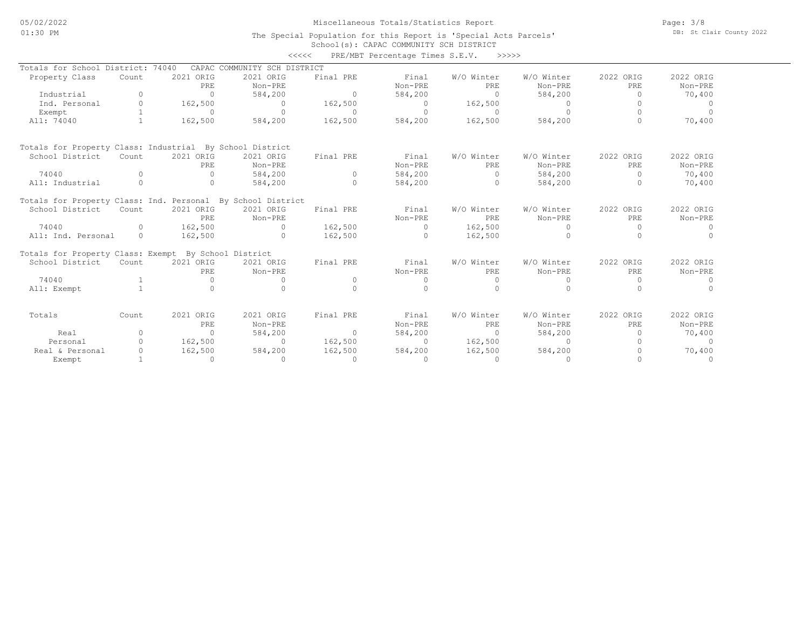## Miscellaneous Totals/Statistics Report

Page: 3/8 DB: St Clair County 2022

#### School(s): CAPAC COMMUNITY SCH DISTRICT The Special Population for this Report is 'Special Acts Parcels'

|                                                             |              |                  |                              | <<<<      | PRE/MBT Percentage Times S.E.V. | >>>>>             |                       |                  |                      |
|-------------------------------------------------------------|--------------|------------------|------------------------------|-----------|---------------------------------|-------------------|-----------------------|------------------|----------------------|
| Totals for School District:                                 |              | 74040            | CAPAC COMMUNITY SCH DISTRICT |           |                                 |                   |                       |                  |                      |
| Property Class                                              | Count        | 2021 ORIG        | 2021 ORIG                    | Final PRE | Final                           | W/O Winter        | W/O Winter            | 2022 ORIG        | 2022 ORIG            |
|                                                             |              | PRE              | Non-PRE                      |           | Non-PRE                         | PRE               | Non-PRE               | PRE              | Non-PRE              |
| Industrial                                                  | $\Omega$     | $\circ$          | 584,200                      | $\circ$   | 584,200                         | $\overline{0}$    | 584,200               | $\Omega$         | 70,400               |
| Ind. Personal                                               | $\circ$      | 162,500          | $\circ$                      | 162,500   | $\circ$                         | 162,500           | $\circ$               | 0                | $\overline{0}$       |
| Exempt                                                      | $\mathbf{1}$ | $\Omega$         | $\Omega$                     | $\Omega$  | $\Omega$                        | $\Omega$          | $\Omega$              | $\Omega$         | $\Omega$             |
| All: 74040                                                  | $\mathbf{1}$ | 162,500          | 584,200                      | 162,500   | 584,200                         | 162,500           | 584,200               | $\Omega$         | 70,400               |
| Totals for Property Class: Industrial By School District    |              |                  |                              |           |                                 |                   |                       |                  |                      |
| School District                                             | Count        | 2021 ORIG        | 2021 ORIG                    | Final PRE | Final                           | W/O Winter        | W/O Winter            | 2022 ORIG        | 2022 ORIG            |
|                                                             |              | PRE              | Non-PRE                      |           | Non-PRE                         | PRE               | Non-PRE               | PRE              | Non-PRE              |
| 74040                                                       | $\Omega$     | $\Omega$         | 584,200                      | $\Omega$  | 584,200                         | $\Omega$          | 584,200               | $\overline{0}$   | 70,400               |
| All: Industrial                                             | $\Omega$     | $\Omega$         | 584,200                      | $\cap$    | 584,200                         | $\cap$            | 584,200               | $\Omega$         | 70,400               |
| Totals for Property Class: Ind. Personal By School District |              |                  |                              |           |                                 |                   |                       |                  |                      |
| School District                                             | Count        | 2021 ORIG        | 2021 ORIG                    | Final PRE | Final                           | W/O Winter        | W/O Winter            | 2022 ORIG        | 2022 ORIG            |
|                                                             |              | PRE              | Non-PRE                      |           | Non-PRE                         | PRE               | Non-PRE               | PRE              | Non-PRE              |
| 74040                                                       | $\Omega$     | 162,500          | $\Omega$                     | 162,500   | $\Omega$                        | 162,500           | $\Omega$              | $\Omega$         | $\Omega$             |
| All: Ind. Personal                                          | $\Omega$     | 162,500          | $\Omega$                     | 162,500   | $\Omega$                        | 162,500           | $\Omega$              | $\cap$           | $\Omega$             |
| Totals for Property Class: Exempt By School District        |              |                  |                              |           |                                 |                   |                       |                  |                      |
| School District                                             | Count        | 2021 ORIG<br>PRE | 2021 ORIG<br>Non-PRE         | Final PRE | Final<br>Non-PRE                | W/O Winter<br>PRE | W/O Winter<br>Non-PRE | 2022 ORIG<br>PRE | 2022 ORIG<br>Non-PRE |
| 74040                                                       |              | $\Omega$         | 0                            | $\Omega$  | $\circ$                         | $\Omega$          | $\Omega$              | $\Omega$         | $\circ$              |
| All: Exempt                                                 | $\mathbf{1}$ | $\Omega$         | $\Omega$                     | $\cap$    | $\Omega$                        | $\Omega$          | $\Omega$              | $\Omega$         | $\Omega$             |
| Totals                                                      | Count        | 2021 ORIG        | 2021 ORIG                    | Final PRE | Final                           | W/O Winter        | W/O Winter            | 2022 ORIG        | 2022 ORIG            |
|                                                             |              | PRE              | Non-PRE                      |           | Non-PRE                         | PRE               | Non-PRE               | PRE              | Non-PRE              |
| Real                                                        | $\circ$      | $\circ$          | 584,200                      | $\Omega$  | 584,200                         | $\bigcirc$        | 584,200               | $\Omega$         | 70,400               |
| Personal                                                    | $\Omega$     | 162,500          | $\circ$                      | 162,500   | $\circ$                         | 162,500           | $\circ$               | $\Omega$         | $\circ$              |
| Real & Personal                                             | $\Omega$     | 162,500          | 584,200                      | 162,500   | 584,200                         | 162,500           | 584,200               | $\Omega$         | 70,400               |
| Exempt                                                      | $\mathbf{1}$ | $\Omega$         | $\Omega$                     | $\Omega$  | $\cap$                          | $\cap$            | $\Omega$              |                  | $\Omega$             |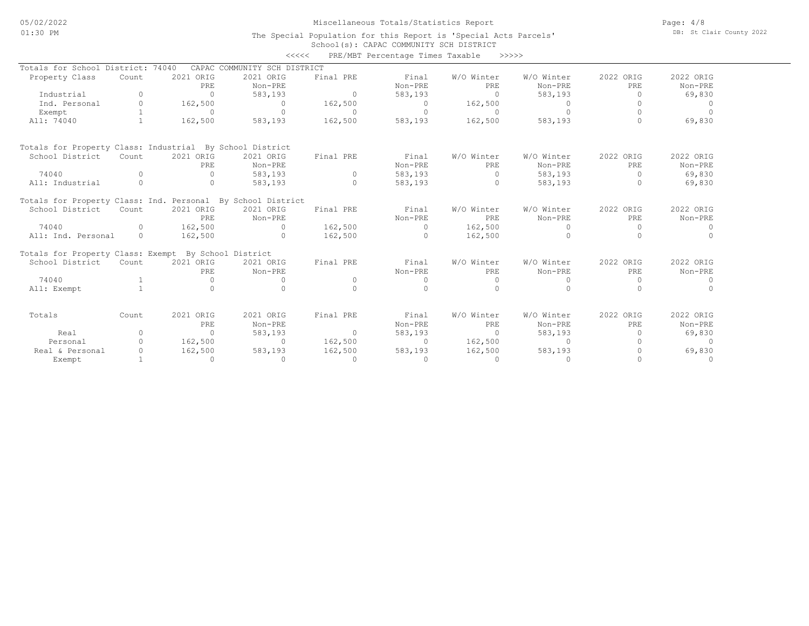### Miscellaneous Totals/Statistics Report

Page: 4/8 DB: St Clair County 2022

### School(s): CAPAC COMMUNITY SCH DISTRICT The Special Population for this Report is 'Special Acts Parcels'

|                                                             |                |                  |                              | <<<<      | PRE/MBT Percentage Times Taxable |                   | >>>>>                 |                  |                      |
|-------------------------------------------------------------|----------------|------------------|------------------------------|-----------|----------------------------------|-------------------|-----------------------|------------------|----------------------|
| Totals for School District: 74040                           |                |                  | CAPAC COMMUNITY SCH DISTRICT |           |                                  |                   |                       |                  |                      |
| Property Class                                              | Count          | 2021 ORIG        | 2021 ORIG                    | Final PRE | Final                            | W/O Winter        | W/O Winter            | 2022 ORIG        | 2022 ORIG            |
|                                                             |                | PRE              | Non-PRE                      |           | Non-PRE                          | <b>PRE</b>        | Non-PRE               | PRE              | Non-PRE              |
| Industrial                                                  | $\Omega$       | $\circ$          | 583,193                      | $\circ$   | 583,193                          | $\Omega$          | 583,193               | $\circ$          | 69,830               |
| Ind. Personal                                               | $\circ$        | 162,500          | $\circ$                      | 162,500   | $\circ$                          | 162,500           | $\circ$               | $\Omega$         | $\Omega$             |
| Exempt                                                      | $\mathbf{1}$   | $\Omega$         | $\Omega$                     | $\Omega$  | $\Omega$                         | $\Omega$          | $\Omega$              | $\Omega$         | $\Omega$             |
| All: 74040                                                  | $\mathbf{1}$   | 162,500          | 583,193                      | 162,500   | 583,193                          | 162,500           | 583,193               | $\cap$           | 69,830               |
| Totals for Property Class: Industrial By School District    |                |                  |                              |           |                                  |                   |                       |                  |                      |
| School District                                             | Count          | 2021 ORIG        | 2021 ORIG                    | Final PRE | Final                            | W/O Winter        | W/O Winter            | 2022 ORIG        | 2022 ORIG            |
|                                                             |                | PRE              | Non-PRE                      |           | Non-PRE                          | <b>PRE</b>        | Non-PRE               | PRE              | Non-PRE              |
| 74040                                                       | $\Omega$       | $\Omega$         | 583,193                      | $\Omega$  | 583,193                          | $\Omega$          | 583,193               | $\Omega$         | 69,830               |
| All: Industrial                                             | $\Omega$       | $\Omega$         | 583,193                      | $\Omega$  | 583,193                          | $\Omega$          | 583,193               | $\Omega$         | 69,830               |
| Totals for Property Class: Ind. Personal By School District |                |                  |                              |           |                                  |                   |                       |                  |                      |
| School District                                             | Count          | 2021 ORIG        | 2021 ORIG                    | Final PRE | Final                            | W/O Winter        | W/O Winter            | 2022 ORIG        | 2022 ORIG            |
|                                                             |                | PRE              | Non-PRE                      |           | Non-PRE                          | PRE               | Non-PRE               | PRE              | Non-PRE              |
| 74040                                                       | $\Omega$       | 162,500          | $\Omega$                     | 162,500   | $\Omega$                         | 162,500           | $\Omega$              | $\Omega$         | $\Omega$             |
| All: Ind. Personal                                          | $\Omega$       | 162,500          | $\Omega$                     | 162,500   | $\Omega$                         | 162,500           | $\Omega$              | $\cap$           | $\cap$               |
| Totals for Property Class: Exempt By School District        |                |                  |                              |           |                                  |                   |                       |                  |                      |
| School District                                             | Count          | 2021 ORIG<br>PRE | 2021 ORIG<br>Non-PRE         | Final PRE | Final<br>Non-PRE                 | W/O Winter<br>PRE | W/O Winter<br>Non-PRE | 2022 ORIG<br>PRE | 2022 ORIG<br>Non-PRE |
| 74040                                                       | $\mathbf{1}$   | $\Omega$         | 0                            | $\circ$   | $\Omega$                         | $\Omega$          | $\Omega$              | $\Omega$         | $\Omega$             |
| All: Exempt                                                 | $\overline{1}$ | $\Omega$         | $\Omega$                     | $\Omega$  | $\Omega$                         | $\Omega$          | $\cap$                | $\cap$           | $\Omega$             |
| Totals                                                      | Count          | 2021 ORIG        | 2021 ORIG                    | Final PRE | Final                            | W/O Winter        | W/O Winter            | 2022 ORIG        | 2022 ORIG            |
|                                                             |                | PRE              | Non-PRE                      |           | Non-PRE                          | PRE               | Non-PRE               | PRE              | Non-PRE              |
| Real                                                        | $\circ$        | $\circ$          | 583,193                      | $\circ$   | 583,193                          | $\bigcirc$        | 583,193               | $\Omega$         | 69,830               |
| Personal                                                    | $\Omega$       | 162,500          | $\circ$                      | 162,500   | $\circ$                          | 162,500           | $\circ$               | $\Omega$         | $\circ$              |
| Real & Personal                                             | $\Omega$       | 162,500          | 583,193                      | 162,500   | 583,193                          | 162,500           | 583,193               | $\cap$           | 69,830               |
| Exempt                                                      | $\mathbf{1}$   | $\Omega$         | $\Omega$                     | $\Omega$  | $\cap$                           | $\cap$            | $\Omega$              |                  | $\cap$               |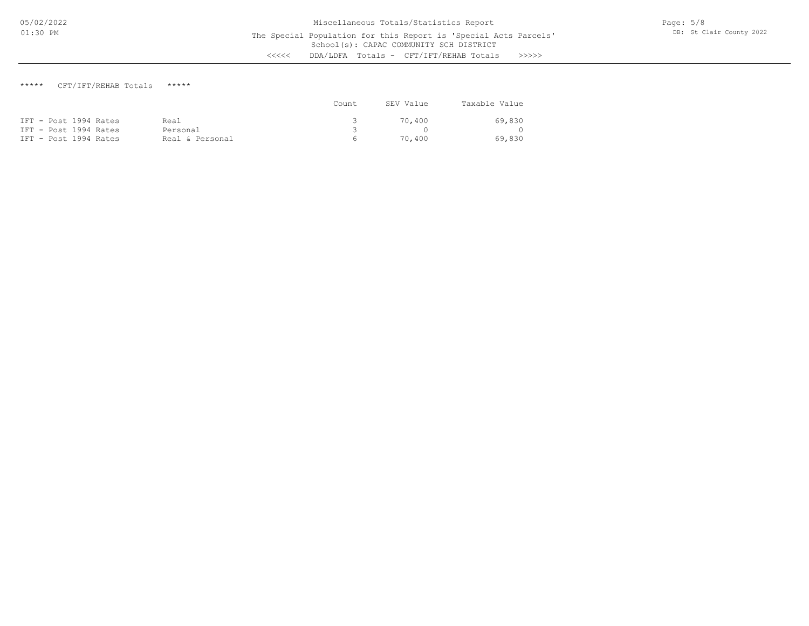## \*\*\*\*\* CFT/IFT/REHAB Totals \*\*\*\*\*

|                       |                 | Count. | SEV Value | Taxable Value |
|-----------------------|-----------------|--------|-----------|---------------|
| IFT - Post 1994 Rates | Real            |        | 70.400    | 69,830        |
| IFT - Post 1994 Rates | Personal        |        |           |               |
| IFT - Post 1994 Rates | Real & Personal | $\sim$ | 70,400    | 69,830        |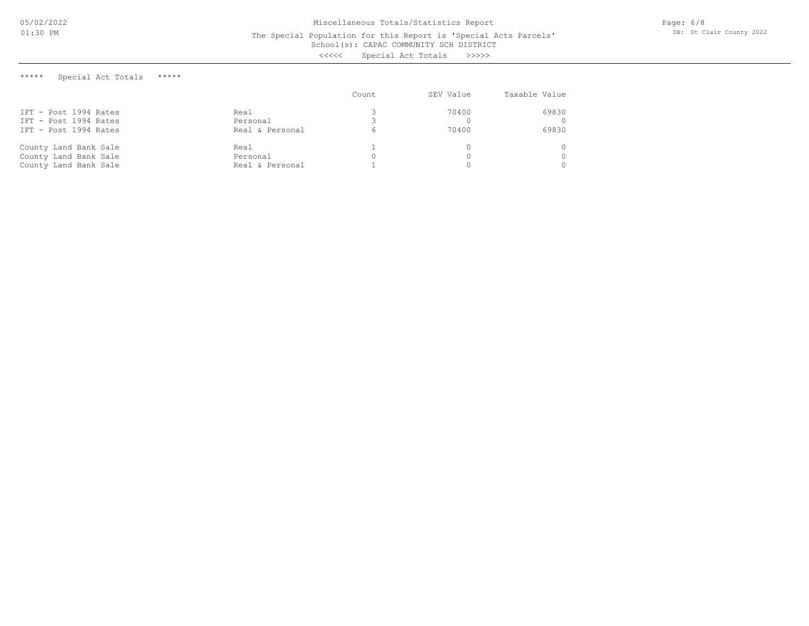#### School(s): CAPAC COMMUNITY SCH DISTRICT The Special Population for this Report is 'Special Acts Parcels'

<<<<< Special Act Totals >>>>>

\*\*\*\*\* Special Act Totals \*\*\*\*\*

|                       |                 | Count | SEV Value | Taxable Value |
|-----------------------|-----------------|-------|-----------|---------------|
| IFT - Post 1994 Rates | Real            |       | 70400     | 69830         |
| IFT - Post 1994 Rates | Personal        |       |           |               |
| IFT - Post 1994 Rates | Real & Personal |       | 70400     | 69830         |
| County Land Bank Sale | Real            |       |           |               |
| County Land Bank Sale | Personal        | 0     |           |               |
| County Land Bank Sale | Real & Personal |       |           |               |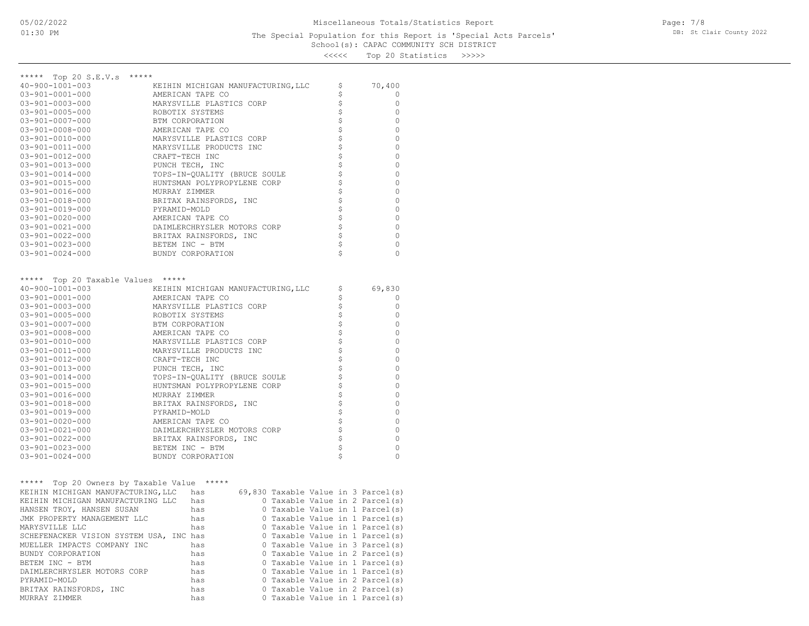## School(s): CAPAC COMMUNITY SCH DISTRICT The Special Population for this Report is 'Special Acts Parcels'

<<<<< Top 20 Statistics >>>>>

| ***** Top 20 S.E.V.s                       | *****                                 |                                |              |
|--------------------------------------------|---------------------------------------|--------------------------------|--------------|
| $40 - 900 - 1001 - 003$                    | KEIHIN MICHIGAN MANUFACTURING, LLC    | \$                             | 70,400       |
| $03 - 901 - 0001 - 000$                    | AMERICAN TAPE CO                      | \$                             | 0            |
| $03 - 901 - 0003 - 000$                    | MARYSVILLE PLASTICS CORP              | \$                             | 0            |
| $03 - 901 - 0005 - 000$                    | ROBOTIX SYSTEMS                       | \$                             | 0            |
| $03 - 901 - 0007 - 000$                    | BTM CORPORATION                       | \$\$\$\$\$\$                   | 0            |
| $03 - 901 - 0008 - 000$                    | AMERICAN TAPE CO                      |                                | 0            |
| 03-901-0010-000                            | MARYSVILLE PLASTICS CORP              |                                | 0            |
| 03-901-0011-000                            | MARYSVILLE PRODUCTS INC               |                                | 0            |
| $03 - 901 - 0012 - 000$                    | CRAFT-TECH INC                        |                                | 0            |
| $03 - 901 - 0013 - 000$                    | PUNCH TECH, INC                       | $\dot{\hat{\mathbf{z}}}$       | 0            |
| $03 - 901 - 0014 - 000$                    | TOPS-IN-QUALITY (BRUCE SOULE          | \$                             | 0            |
| $03 - 901 - 0015 - 000$                    | HUNTSMAN POLYPROPYLENE CORP           | \$                             | 0            |
| 03-901-0016-000                            | MURRAY ZIMMER                         | \$                             | 0            |
| $03 - 901 - 0018 - 000$                    | BRITAX RAINSFORDS, INC                |                                | 0            |
| $03 - 901 - 0019 - 000$                    | PYRAMID-MOLD                          | $\boldsymbol{\mathsf{S}}$      | 0            |
| $03 - 901 - 0020 - 000$                    | AMERICAN TAPE CO                      | \$\$\$                         | 0            |
| $03 - 901 - 0021 - 000$                    | DAIMLERCHRYSLER MOTORS CORP           |                                | 0            |
| $03 - 901 - 0022 - 000$                    | BRITAX RAINSFORDS, INC                |                                | 0            |
| $03 - 901 - 0023 - 000$                    | BETEM INC - BTM                       | \$                             | 0            |
| $03 - 901 - 0024 - 000$                    | BUNDY CORPORATION                     |                                | 0            |
|                                            |                                       |                                |              |
| *****<br>Top 20 Taxable Values *****       |                                       |                                |              |
| $40 - 900 - 1001 - 003$                    | KEIHIN MICHIGAN MANUFACTURING, LLC    | \$                             | 69,830       |
| $03 - 901 - 0001 - 000$                    | AMERICAN TAPE CO                      | \$                             | 0            |
| $03 - 901 - 0003 - 000$                    | MARYSVILLE PLASTICS CORP              | \$                             | 0            |
| $03 - 901 - 0005 - 000$                    | ROBOTIX SYSTEMS                       | \$                             | 0            |
| $03 - 901 - 0007 - 000$                    | BTM CORPORATION                       | \$                             | 0            |
| $03 - 901 - 0008 - 000$                    | AMERICAN TAPE CO                      |                                | 0            |
| 03-901-0010-000                            | MARYSVILLE PLASTICS CORP              | \$                             | 0            |
| $03 - 901 - 0011 - 000$                    | MARYSVILLE PRODUCTS INC               | $\boldsymbol{\dot{\varsigma}}$ | $\mathbf{0}$ |
| 03-901-0012-000                            | CRAFT-TECH INC                        | \$                             | $\mathbb O$  |
| 03-901-0013-000                            | PUNCH TECH, INC                       |                                | 0            |
| $03 - 901 - 0014 - 000$                    | TOPS-IN-QUALITY (BRUCE SOULE          | $\frac{1}{2}$                  | $\circ$      |
| $03 - 901 - 0015 - 000$                    | HUNTSMAN POLYPROPYLENE CORP           | \$                             | 0            |
| $03 - 901 - 0016 - 000$                    | MURRAY ZIMMER                         | $\boldsymbol{\dot{\varsigma}}$ | $\circ$      |
| $03 - 901 - 0018 - 000$                    | BRITAX RAINSFORDS, INC                |                                | 0            |
| $03 - 901 - 0019 - 000$                    | PYRAMID-MOLD                          | $\frac{1}{2}$                  | 0            |
| $03 - 901 - 0020 - 000$                    | AMERICAN TAPE CO                      | \$                             | 0            |
| $03 - 901 - 0021 - 000$                    | DAIMLERCHRYSLER MOTORS CORP           | $\hat{\varsigma}$              | 0            |
| $03 - 901 - 0022 - 000$                    | BRITAX RAINSFORDS, INC                | \$                             | 0            |
| 03-901-0023-000                            | BETEM INC - BTM                       | \$                             | 0            |
| $03 - 901 - 0024 - 000$                    | BUNDY CORPORATION                     |                                | $\Omega$     |
|                                            |                                       |                                |              |
|                                            |                                       |                                |              |
| ***** Top 20 Owners by Taxable Value ***** |                                       |                                |              |
| KEIHIN MICHIGAN MANUFACTURING, LLC has     | 69,830 Taxable Value in 3 Parcel(s)   |                                |              |
| KEIHIN MICHIGAN MANUFACTURING LLC          | 0 Taxable Value in 2 Parcel(s)<br>has |                                |              |
| HANSEN TROY, HANSEN SUSAN                  | 0 Taxable Value in 1 Parcel(s)<br>has |                                |              |
| JMK PROPERTY MANAGEMENT LLC                | 0 Taxable Value in 1 Parcel(s)<br>has |                                |              |
| MARYSVILLE LLC                             | 0 Taxable Value in 1 Parcel(s)<br>has |                                |              |
| SCHEFENACKER VISION SYSTEM USA, INC has    | 0 Taxable Value in 1 Parcel(s)        |                                |              |
| MUELLER IMPACTS COMPANY INC                | 0 Taxable Value in 3 Parcel(s)<br>has |                                |              |
| BUNDY CORPORATION                          | 0 Taxable Value in 2 Parcel(s)<br>has |                                |              |
| BETEM INC - BTM                            | 0 Taxable Value in 1 Parcel(s)<br>has |                                |              |
| DAIMLERCHRYSLER MOTORS CORP                | 0 Taxable Value in 1 Parcel(s)<br>has |                                |              |
| PYRAMID-MOLD                               | 0 Taxable Value in 2 Parcel(s)<br>has |                                |              |
| BRITAX RAINSFORDS, INC                     | 0 Taxable Value in 2 Parcel(s)<br>has |                                |              |

MURRAY ZIMMER has 0 Taxable Value in 1 Parcel(s)